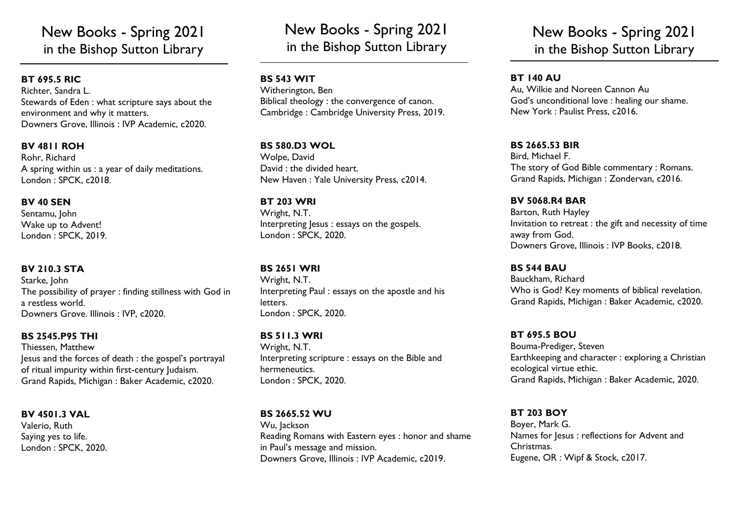# New Books - Spring 2021 in the Bishop Sutton Library

## **BT 695.5 RIC**

Richter, Sandra L. Stewards of Eden : what scripture says about the environment and why it matters. Downers Grove, Illinois : IVP Academic, c2020.

## **BV 4811 ROH**

Rohr, Richard A spring within us : a year of daily meditations. London : SPCK, c2018.

### **BV 40 SEN**

Sentamu, John Wake up to Advent! London : SPCK, 2019.

## **BV 210.3 STA**

Starke, John The possibility of prayer : finding stillness with God in a restless world. Downers Grove. Illinois : IVP, c2020.

## **BS 2545.P95 THI**

Thiessen, Matthew Jesus and the forces of death : the gospel's portrayal of ritual impurity within first-century Judaism. Grand Rapids, Michigan : Baker Academic, c2020.

**BV 4501.3 VAL** Valerio, Ruth Saying yes to life.

London : SPCK, 2020.

New Books - Spring 2021 in the Bishop Sutton Library

## **BS 543 WIT**

Witherington, Ben Biblical theology : the convergence of canon. Cambridge : Cambridge University Press, 2019.

## **BS 580.D3 WOL**

Wolpe, David David : the divided heart. New Haven : Yale University Press, c2014.

#### **BT 203 WRI**

Wright, N.T. Interpreting Jesus : essays on the gospels. London : SPCK, 2020.

## **BS 2651 WRI**

Wright, N.T. Interpreting Paul : essays on the apostle and his letters. London : SPCK, 2020.

## **BS 511.3 WRI**

Wright, N.T. Interpreting scripture : essays on the Bible and hermeneutics. London : SPCK, 2020.

## **BS 2665.52 WU**

Wu, Jackson Reading Romans with Eastern eyes : honor and shame in Paul's message and mission. Downers Grove, Illinois : IVP Academic, c2019.

# New Books - Spring 2021 in the Bishop Sutton Library

## **BT 140 AU**

Au, Wilkie and Noreen Cannon Au God's unconditional love : healing our shame. New York : Paulist Press, c2016.

## **BS 2665.53 BIR**

Bird, Michael F. The story of God Bible commentary : Romans. Grand Rapids, Michigan : Zondervan, c2016.

#### **BV 5068.R4 BAR** Barton, Ruth Hayley Invitation to retreat : the gift and necessity of time away from God. Downers Grove, Illinois : IVP Books, c2018.

## **BS 544 BAU**

Bauckham, Richard Who is God? Key moments of biblical revelation. Grand Rapids, Michigan : Baker Academic, c2020.

## **BT 695.5 BOU**

Bouma-Prediger, Steven Earthkeeping and character : exploring a Christian ecological virtue ethic. Grand Rapids, Michigan : Baker Academic, 2020.

## **BT 203 BOY**

Boyer, Mark G. Names for Jesus : reflections for Advent and Christmas. Eugene, OR : Wipf & Stock, c2017.